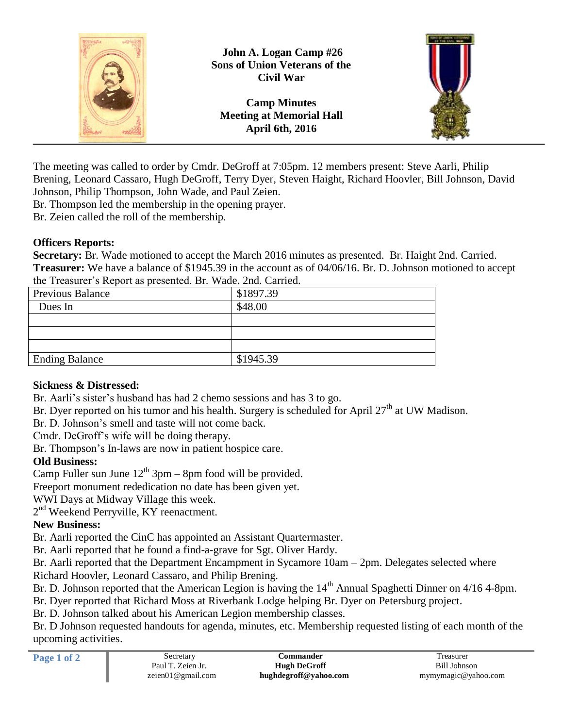

The meeting was called to order by Cmdr. DeGroff at 7:05pm. 12 members present: Steve Aarli, Philip Brening, Leonard Cassaro, Hugh DeGroff, Terry Dyer, Steven Haight, Richard Hoovler, Bill Johnson, David Johnson, Philip Thompson, John Wade, and Paul Zeien.

Br. Thompson led the membership in the opening prayer.

Br. Zeien called the roll of the membership.

#### **Officers Reports:**

**Secretary:** Br. Wade motioned to accept the March 2016 minutes as presented. Br. Haight 2nd. Carried. **Treasurer:** We have a balance of \$1945.39 in the account as of 04/06/16. Br. D. Johnson motioned to accept the Treasurer's Report as presented. Br. Wade. 2nd. Carried.

| <b>Previous Balance</b> | \$1897.39 |
|-------------------------|-----------|
| Dues In                 | \$48.00   |
|                         |           |
|                         |           |
|                         |           |
| <b>Ending Balance</b>   | \$1945.39 |

## **Sickness & Distressed:**

Br. Aarli's sister's husband has had 2 chemo sessions and has 3 to go.

Br. Dyer reported on his tumor and his health. Surgery is scheduled for April  $27<sup>th</sup>$  at UW Madison.

Br. D. Johnson's smell and taste will not come back.

Cmdr. DeGroff's wife will be doing therapy.

Br. Thompson's In-laws are now in patient hospice care.

## **Old Business:**

Camp Fuller sun June  $12^{th}$  3pm – 8pm food will be provided.

Freeport monument rededication no date has been given yet.

WWI Days at Midway Village this week.

2<sup>nd</sup> Weekend Perryville, KY reenactment.

## **New Business:**

Br. Aarli reported the CinC has appointed an Assistant Quartermaster.

Br. Aarli reported that he found a find-a-grave for Sgt. Oliver Hardy.

Br. Aarli reported that the Department Encampment in Sycamore 10am – 2pm. Delegates selected where Richard Hoovler, Leonard Cassaro, and Philip Brening.

Br. D. Johnson reported that the American Legion is having the 14<sup>th</sup> Annual Spaghetti Dinner on 4/16 4-8pm.

Br. Dyer reported that Richard Moss at Riverbank Lodge helping Br. Dyer on Petersburg project.

Br. D. Johnson talked about his American Legion membership classes.

Br. D Johnson requested handouts for agenda, minutes, etc. Membership requested listing of each month of the upcoming activities.

| n |  |  |
|---|--|--|
|   |  |  |

| Page 1 of 2 | Secretary         | Commander             | Treasurer           |
|-------------|-------------------|-----------------------|---------------------|
|             | Paul T. Zeien Jr. | <b>Hugh DeGroff</b>   | Bill Johnson        |
|             | zeien01@gmail.com | hughdegroff@yahoo.com | mymymagic@yahoo.com |